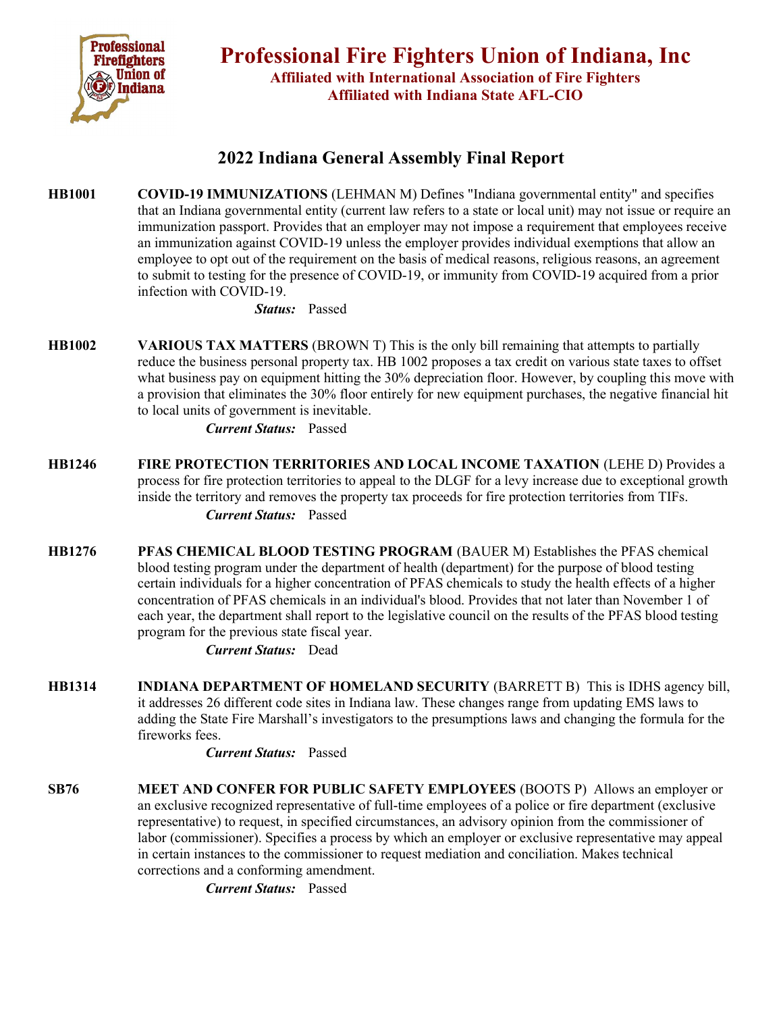

## 2022 Indiana General Assembly Final Report

HB1001 COVID-19 IMMUNIZATIONS (LEHMAN M) Defines "Indiana governmental entity" and specifies that an Indiana governmental entity (current law refers to a state or local unit) may not issue or require an immunization passport. Provides that an employer may not impose a requirement that employees receive an immunization against COVID-19 unless the employer provides individual exemptions that allow an employee to opt out of the requirement on the basis of medical reasons, religious reasons, an agreement to submit to testing for the presence of COVID-19, or immunity from COVID-19 acquired from a prior infection with COVID-19.

Status: Passed

HB1002 VARIOUS TAX MATTERS (BROWN T) This is the only bill remaining that attempts to partially reduce the business personal property tax. HB 1002 proposes a tax credit on various state taxes to offset what business pay on equipment hitting the 30% depreciation floor. However, by coupling this move with a provision that eliminates the 30% floor entirely for new equipment purchases, the negative financial hit to local units of government is inevitable.

Current Status: Passed

- HB1246 FIRE PROTECTION TERRITORIES AND LOCAL INCOME TAXATION (LEHE D) Provides a process for fire protection territories to appeal to the DLGF for a levy increase due to exceptional growth inside the territory and removes the property tax proceeds for fire protection territories from TIFs. Current Status: Passed
- HB1276 PFAS CHEMICAL BLOOD TESTING PROGRAM (BAUER M) Establishes the PFAS chemical blood testing program under the department of health (department) for the purpose of blood testing certain individuals for a higher concentration of PFAS chemicals to study the health effects of a higher concentration of PFAS chemicals in an individual's blood. Provides that not later than November 1 of each year, the department shall report to the legislative council on the results of the PFAS blood testing program for the previous state fiscal year.

Current Status: Dead

HB1314 INDIANA DEPARTMENT OF HOMELAND SECURITY (BARRETT B) This is IDHS agency bill, it addresses 26 different code sites in Indiana law. These changes range from updating EMS laws to adding the State Fire Marshall's investigators to the presumptions laws and changing the formula for the fireworks fees.

Current Status: Passed

SB76 MEET AND CONFER FOR PUBLIC SAFETY EMPLOYEES (BOOTS P) Allows an employer or an exclusive recognized representative of full-time employees of a police or fire department (exclusive representative) to request, in specified circumstances, an advisory opinion from the commissioner of labor (commissioner). Specifies a process by which an employer or exclusive representative may appeal in certain instances to the commissioner to request mediation and conciliation. Makes technical corrections and a conforming amendment.

Current Status: Passed